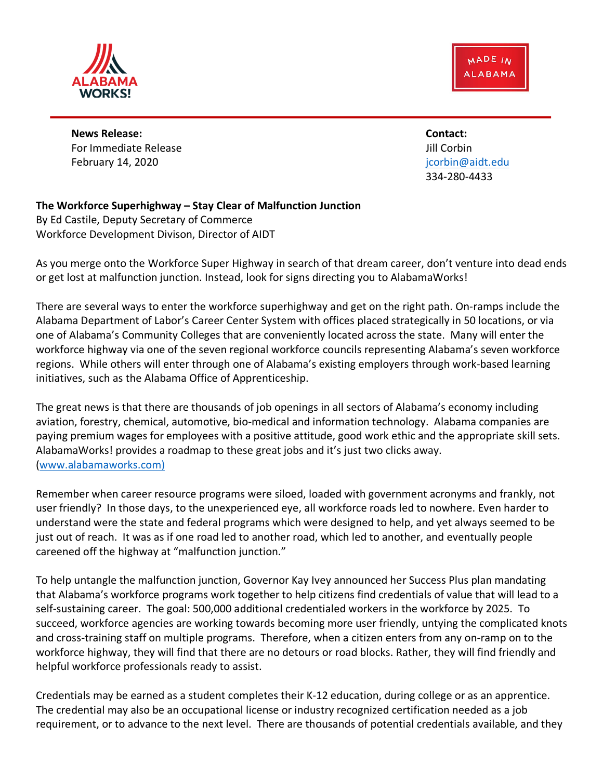MADE IN **ALABAMA** 



**News Release: Contact:** For Immediate Release John Corpinsor Corpinsor Corpinsor Corpinsor Corpinsor Corpinsor Corpinsor Corpinsor Corpinsor Corpinsor Corpinsor Corpinsor Corpinsor Corpinsor Corpinsor Corpinsor Corpinsor Corpinsor Corpinsor Corpi February 14, 2020 **February 14, 2020 jcorbin@aidt.edu** 

334-280-4433

## **The Workforce Superhighway – Stay Clear of Malfunction Junction**

By Ed Castile, Deputy Secretary of Commerce Workforce Development Divison, Director of AIDT

As you merge onto the Workforce Super Highway in search of that dream career, don't venture into dead ends or get lost at malfunction junction. Instead, look for signs directing you to AlabamaWorks!

There are several ways to enter the workforce superhighway and get on the right path. On-ramps include the Alabama Department of Labor's Career Center System with offices placed strategically in 50 locations, or via one of Alabama's Community Colleges that are conveniently located across the state. Many will enter the workforce highway via one of the seven regional workforce councils representing Alabama's seven workforce regions. While others will enter through one of Alabama's existing employers through work-based learning initiatives, such as the Alabama Office of Apprenticeship.

The great news is that there are thousands of job openings in all sectors of Alabama's economy including aviation, forestry, chemical, automotive, bio-medical and information technology. Alabama companies are paying premium wages for employees with a positive attitude, good work ethic and the appropriate skill sets. AlabamaWorks! provides a roadmap to these great jobs and it's just two clicks away. (www.alabamaworks.com)

Remember when career resource programs were siloed, loaded with government acronyms and frankly, not user friendly? In those days, to the unexperienced eye, all workforce roads led to nowhere. Even harder to understand were the state and federal programs which were designed to help, and yet always seemed to be just out of reach. It was as if one road led to another road, which led to another, and eventually people careened off the highway at "malfunction junction."

To help untangle the malfunction junction, Governor Kay Ivey announced her Success Plus plan mandating that Alabama's workforce programs work together to help citizens find credentials of value that will lead to a self-sustaining career. The goal: 500,000 additional credentialed workers in the workforce by 2025. To succeed, workforce agencies are working towards becoming more user friendly, untying the complicated knots and cross-training staff on multiple programs. Therefore, when a citizen enters from any on-ramp on to the workforce highway, they will find that there are no detours or road blocks. Rather, they will find friendly and helpful workforce professionals ready to assist.

Credentials may be earned as a student completes their K-12 education, during college or as an apprentice. The credential may also be an occupational license or industry recognized certification needed as a job requirement, or to advance to the next level. There are thousands of potential credentials available, and they